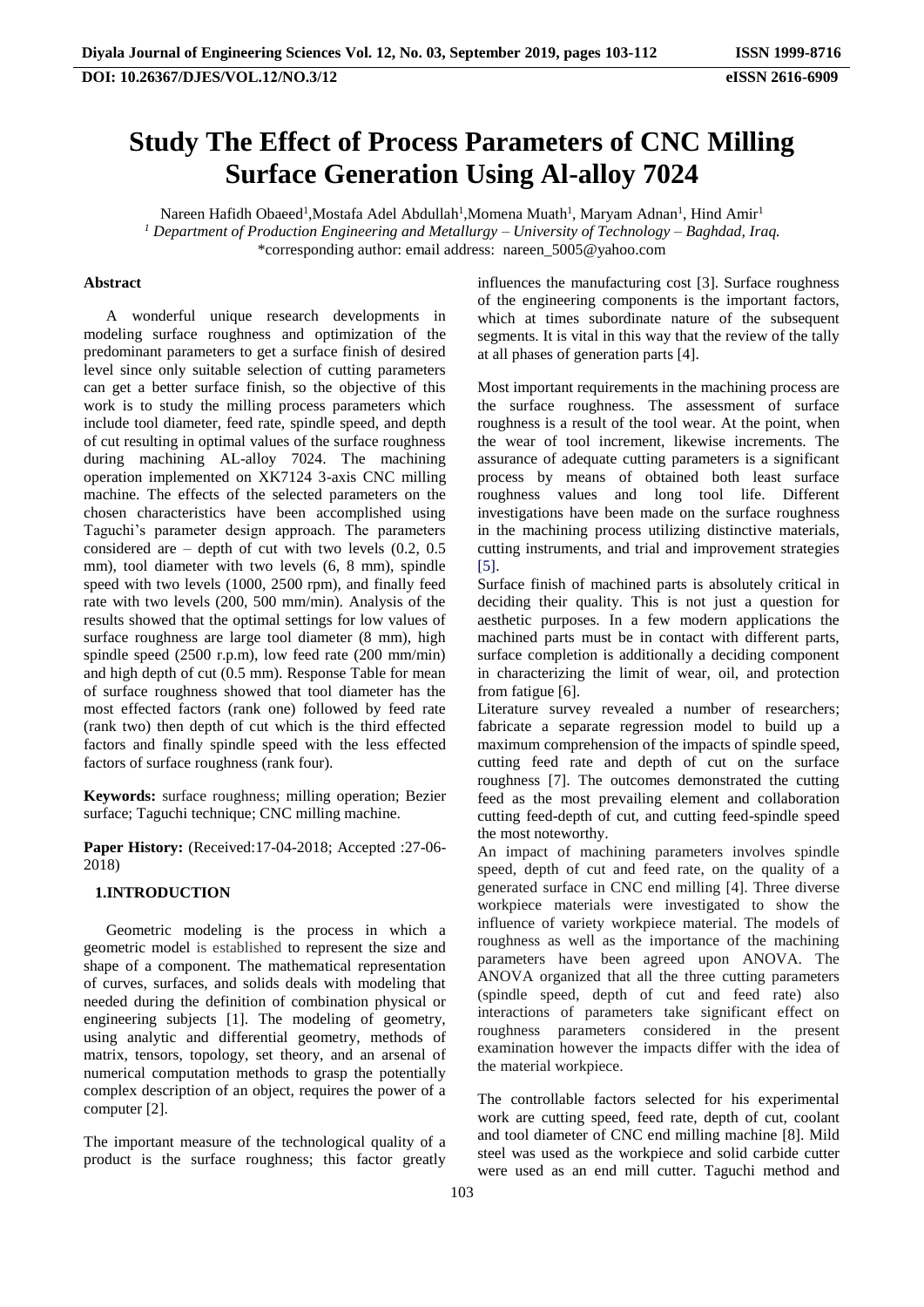# **Study The Effect of Process Parameters of CNC Milling Surface Generation Using Al-alloy 7024**

Nareen Hafidh Obaeed<sup>1</sup>,Mostafa Adel Abdullah<sup>1</sup>,Momena Muath<sup>1</sup>, Maryam Adnan<sup>1</sup>, Hind Amir<sup>1</sup> *Department of Production Engineering and Metallurgy – University of Technology – Baghdad, Iraq. 1* \*corresponding author: email address: nareen\_5005@yahoo.com

### **Abstract**

A wonderful unique research developments in modeling surface roughness and optimization of the predominant parameters to get a surface finish of desired level since only suitable selection of cutting parameters can get a better surface finish, so the objective of this work is to study the milling process parameters which include tool diameter, feed rate, spindle speed, and depth of cut resulting in optimal values of the surface roughness during machining AL-alloy 7024. The machining operation implemented on XK7124 3-axis CNC milling machine. The effects of the selected parameters on the chosen characteristics have been accomplished using Taguchi's parameter design approach. The parameters considered are  $-$  depth of cut with two levels  $(0.2, 0.5)$ mm), tool diameter with two levels (6, 8 mm), spindle speed with two levels (1000, 2500 rpm), and finally feed rate with two levels (200, 500 mm/min). Analysis of the results showed that the optimal settings for low values of surface roughness are large tool diameter (8 mm), high spindle speed (2500 r.p.m), low feed rate (200 mm/min) and high depth of cut (0.5 mm). Response Table for mean of surface roughness showed that tool diameter has the most effected factors (rank one) followed by feed rate (rank two) then depth of cut which is the third effected factors and finally spindle speed with the less effected factors of surface roughness (rank four).

**Keywords:** surface roughness; milling operation; Bezier surface; Taguchi technique; CNC milling machine.

**Paper History:** (Received:17-04-2018; Accepted :27-06- 2018)

#### **1.INTRODUCTION**

Geometric modeling is the process in which a geometric model is established to represent the size and shape of a component. The mathematical representation of curves, surfaces, and solids deals with modeling that needed during the definition of combination physical or engineering subjects [1]. The modeling of geometry, using analytic and differential geometry, methods of matrix, tensors, topology, set theory, and an arsenal of numerical computation methods to grasp the potentially complex description of an object, requires the power of a computer [2].

The important measure of the technological quality of a product is the surface roughness; this factor greatly influences the manufacturing cost [3]. Surface roughness of the engineering components is the important factors, which at times subordinate nature of the subsequent segments. It is vital in this way that the review of the tally at all phases of generation parts [4].

Most important requirements in the machining process are the surface roughness. The assessment of surface roughness is a result of the tool wear. At the point, when the wear of tool increment, likewise increments. The assurance of adequate cutting parameters is a significant process by means of obtained both least surface roughness values and long tool life. Different investigations have been made on the surface roughness in the machining process utilizing distinctive materials, cutting instruments, and trial and improvement strategies [5].

Surface finish of machined parts is absolutely critical in deciding their quality. This is not just a question for aesthetic purposes. In a few modern applications the machined parts must be in contact with different parts, surface completion is additionally a deciding component in characterizing the limit of wear, oil, and protection from fatigue [6].

Literature survey revealed a number of researchers; fabricate a separate regression model to build up a maximum comprehension of the impacts of spindle speed, cutting feed rate and depth of cut on the surface roughness [7]. The outcomes demonstrated the cutting feed as the most prevailing element and collaboration cutting feed-depth of cut, and cutting feed-spindle speed the most noteworthy.

An impact of machining parameters involves spindle speed, depth of cut and feed rate, on the quality of a generated surface in CNC end milling [4]. Three diverse workpiece materials were investigated to show the influence of variety workpiece material. The models of roughness as well as the importance of the machining parameters have been agreed upon ANOVA. The ANOVA organized that all the three cutting parameters (spindle speed, depth of cut and feed rate) also interactions of parameters take significant effect on roughness parameters considered in the present examination however the impacts differ with the idea of the material workpiece.

The controllable factors selected for his experimental work are cutting speed, feed rate, depth of cut, coolant and tool diameter of CNC end milling machine [8]. Mild steel was used as the workpiece and solid carbide cutter were used as an end mill cutter. Taguchi method and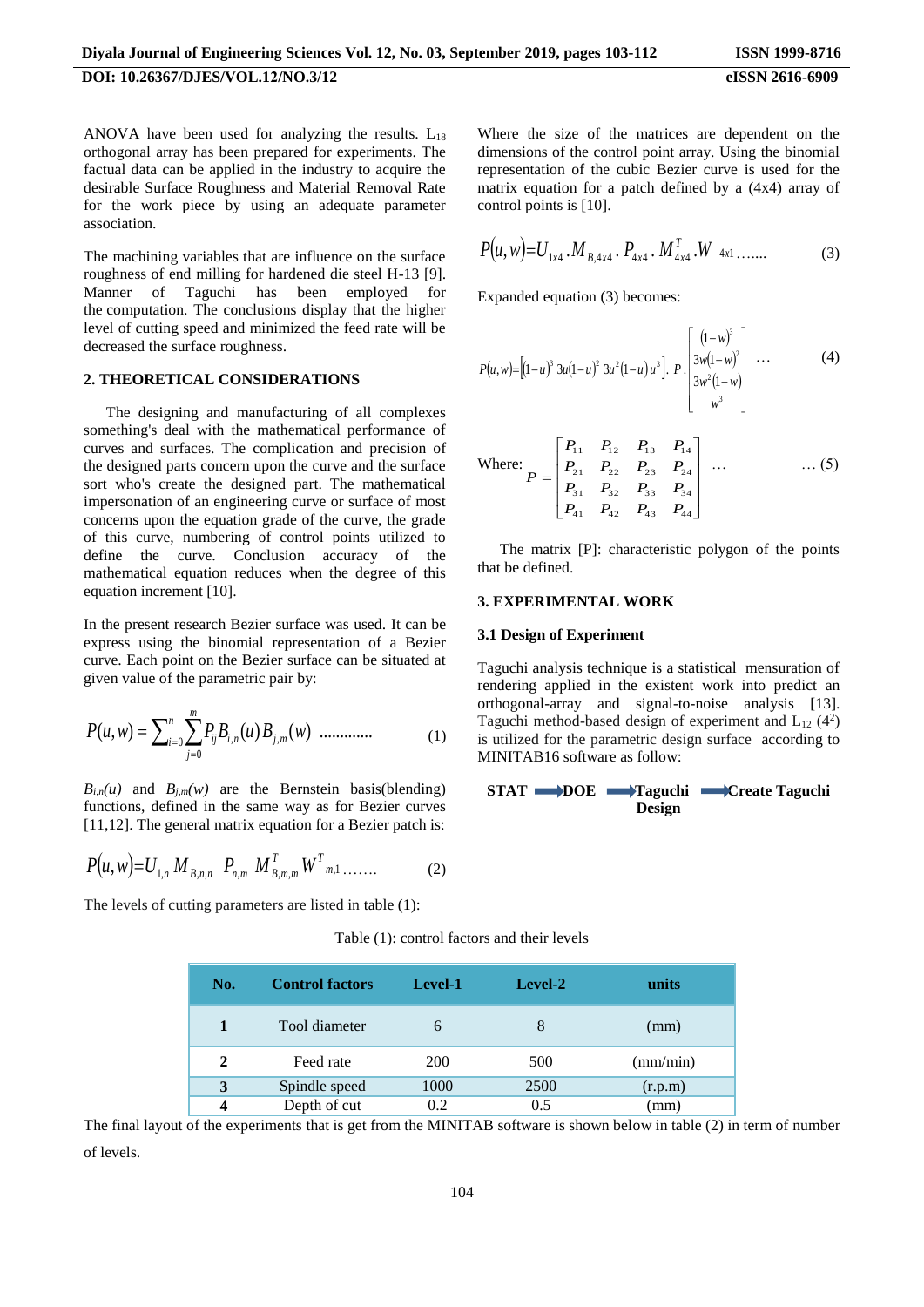ANOVA have been used for analyzing the results.  $L_{18}$ orthogonal array has been prepared for experiments. The factual data can be applied in the industry to acquire the desirable Surface Roughness and Material Removal Rate for the work piece by using an adequate parameter association.

The machining variables that are influence on the surface roughness of end milling for hardened die steel H-13 [9]. Manner of Taguchi has been employed for the computation. The conclusions display that the higher level of cutting speed and minimized the feed rate will be decreased the surface roughness.

### **2. THEORETICAL CONSIDERATIONS**

The designing and manufacturing of all complexes something's deal with the mathematical performance of curves and surfaces. The complication and precision of the designed parts concern upon the curve and the surface sort who's create the designed part. The mathematical impersonation of an engineering curve or surface of most concerns upon the equation grade of the curve, the grade of this curve, numbering of control points utilized to define the curve. Conclusion accuracy of the mathematical equation reduces when the degree of this equation increment [10].

In the present research Bezier surface was used. It can be express using the binomial representation of a Bezier curve. Each point on the Bezier surface can be situated at given value of the parametric pair by:

$$
P(u, w) = \sum_{i=0}^{n} \sum_{j=0}^{m} P_{ij} B_{i,n}(u) B_{j,m}(w) \quad \dots \dots \dots \dots \dots \tag{1}
$$

 $B_{i,n}(u)$  and  $B_{j,m}(w)$  are the Bernstein basis(blending) functions, defined in the same way as for Bezier curves [11,12]. The general matrix equation for a Bezier patch is:

$$
P(u, w) = U_{1,n} M_{B,n,n} P_{n,m} M_{B,m,m}^T W_{m,1}^T \dots \dots \tag{2}
$$

The levels of cutting parameters are listed in table (1):

Where the size of the matrices are dependent on the dimensions of the control point array. Using the binomial representation of the cubic Bezier curve is used for the matrix equation for a patch defined by a (4x4) array of control points is [10].

$$
P(u, w) = U_{1x4} \cdot M_{B,4x4} \cdot P_{4x4} \cdot M_{4x4}^T \cdot W_{4x1} \cdot \dots \tag{3}
$$

Expanded equation (3) becomes:

$$
P(u, w) = \left[ (1 - u)^3 \ 3u(1 - u)^2 \ 3u^2(1 - u) \ u^3 \right]. \ P \left[ \begin{array}{c} (1 - w)^3 \\ 3w(1 - w)^2 \\ 3w^2(1 - w) \\ w^3 \end{array} \right] \ \cdots \tag{4}
$$

Where: 
$$
P = \begin{bmatrix} P_{11} & P_{12} & P_{13} & P_{14} \\ P_{21} & P_{22} & P_{23} & P_{24} \\ P_{31} & P_{32} & P_{33} & P_{34} \\ P_{41} & P_{42} & P_{43} & P_{44} \end{bmatrix} \dots \qquad \dots (5)
$$

The matrix [P]: characteristic polygon of the points that be defined.

### **3. EXPERIMENTAL WORK**

#### **3.1 Design of Experiment**

Taguchi analysis technique is a statistical mensuration of rendering applied in the existent work into predict an orthogonal-array and signal-to-noise analysis [13]. Taguchi method-based design of experiment and  $L_{12}$  (4<sup>2</sup>) is utilized for the parametric design surface according to MINITAB16 software as follow:

**STAT DOE Taguchi Create Taguchi Design**

Table (1): control factors and their levels

| No. | <b>Control factors</b> | Level-1    | Level-2 | units    |
|-----|------------------------|------------|---------|----------|
|     | Tool diameter          | h          | 8       | (mm)     |
| 2   | Feed rate              | <b>200</b> | 500     | (mm/min) |
| 3   | Spindle speed          | 1000       | 2500    | (r.p.m)  |
| Δ   | Depth of cut           | 0.2        | 0.5     | (mm)     |

The final layout of the experiments that is get from the MINITAB software is shown below in table (2) in term of number of levels.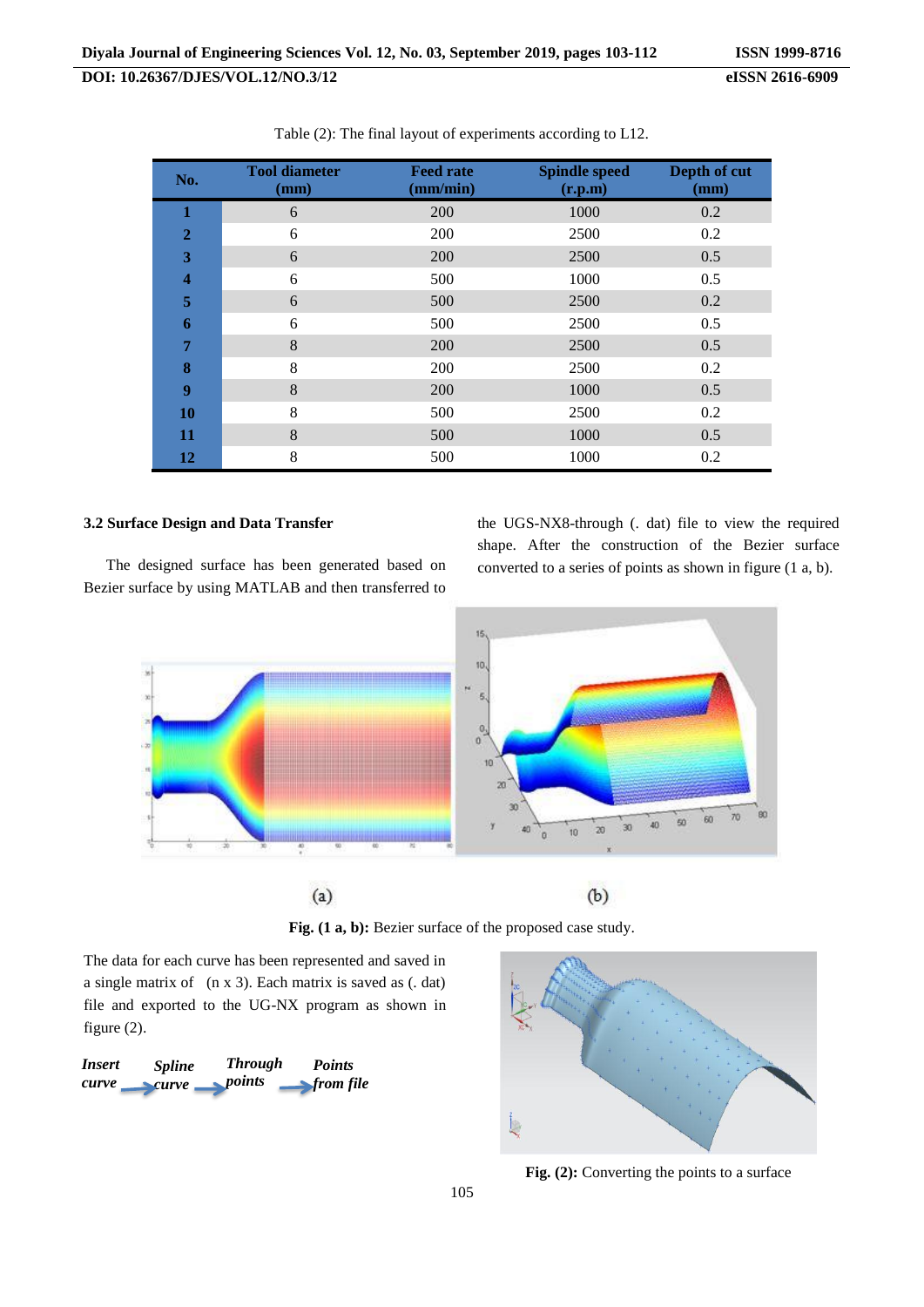| No.            | <b>Tool diameter</b><br>(mm) | <b>Feed rate</b><br>(mm/min) | <b>Spindle speed</b><br>(r.p.m) | Depth of cut<br>(mm) |
|----------------|------------------------------|------------------------------|---------------------------------|----------------------|
| 1              | 6                            | 200                          | 1000                            | 0.2                  |
| $\overline{2}$ | 6                            | 200                          | 2500                            | 0.2                  |
| 3              | 6                            | 200                          | 2500                            | 0.5                  |
| 4              | 6                            | 500                          | 1000                            | 0.5                  |
| 5              | 6                            | 500                          | 2500                            | 0.2                  |
| 6              | 6                            | 500                          | 2500                            | 0.5                  |
| 7              | 8                            | 200                          | 2500                            | 0.5                  |
| 8              | 8                            | 200                          | 2500                            | 0.2                  |
| 9              | 8                            | 200                          | 1000                            | 0.5                  |
| 10             | 8                            | 500                          | 2500                            | 0.2                  |
| 11             | 8                            | 500                          | 1000                            | 0.5                  |
| 12             | 8                            | 500                          | 1000                            | 0.2                  |

Table (2): The final layout of experiments according to L12.

## **3.2 Surface Design and Data Transfer**

The designed surface has been generated based on Bezier surface by using MATLAB and then transferred to

the UGS-NX8-through (. dat) file to view the required shape. After the construction of the Bezier surface converted to a series of points as shown in figure (1 a, b).



**Fig. (1 a, b):** Bezier surface of the proposed case study.

The data for each curve has been represented and saved in a single matrix of (n x 3). Each matrix is saved as (. dat) file and exported to the UG-NX program as shown in figure (2).

| <i>Insert</i> | <i>Spline</i> | <b>Through</b> | <b>Points</b>                   |
|---------------|---------------|----------------|---------------------------------|
| curve         | curve         | points         | $\blacktriangleright$ from file |



**Fig. (2):** Converting the points to a surface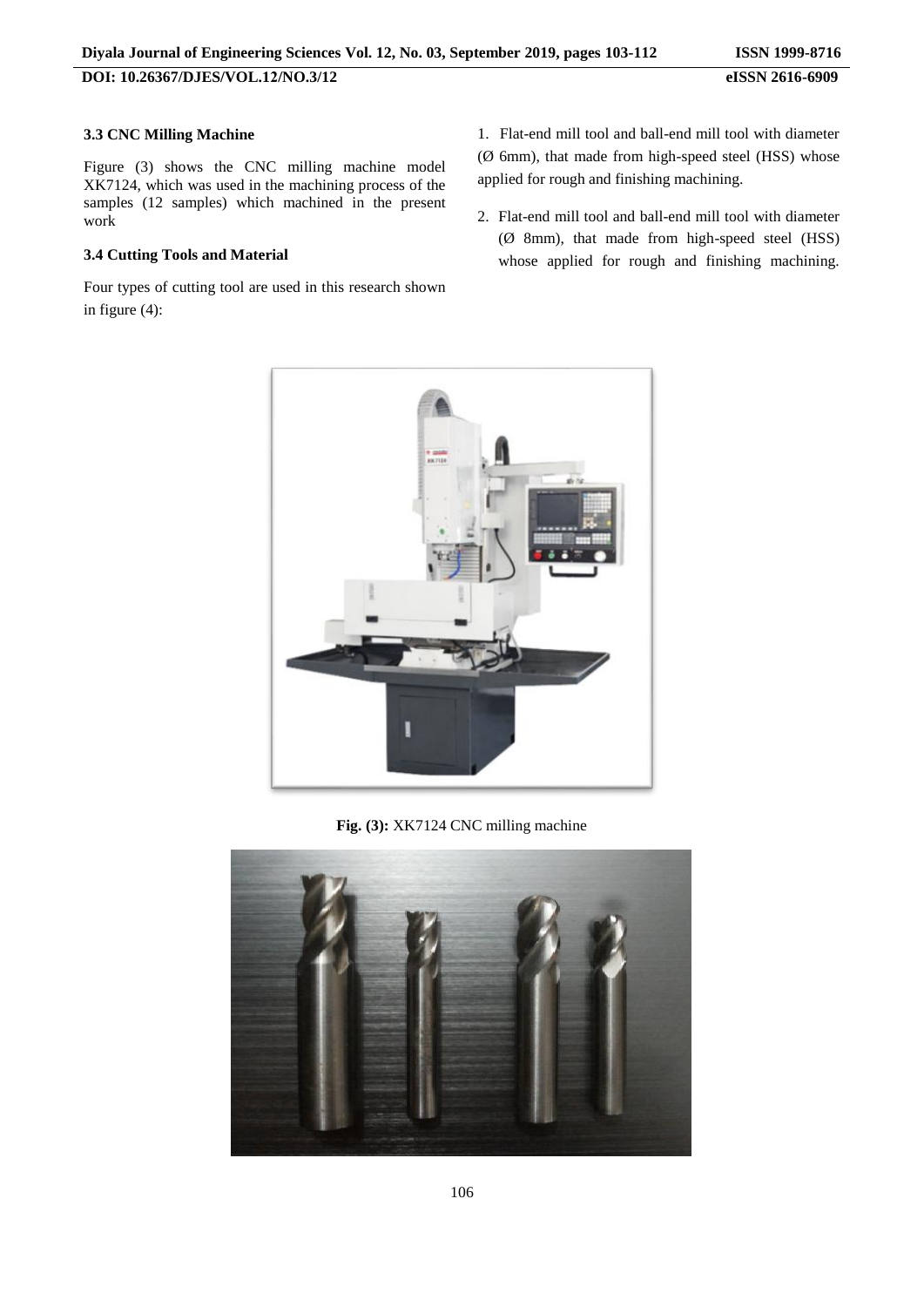## **3.3 CNC Milling Machine**

Figure (3) shows the CNC milling machine model XK7124, which was used in the machining process of the samples (12 samples) which machined in the present work

## **3.4 Cutting Tools and Material**

Four types of cutting tool are used in this research shown in figure (4):

1. Flat-end mill tool and ball-end mill tool with diameter (Ø 6mm), that made from high-speed steel (HSS) whose applied for rough and finishing machining.

2. Flat-end mill tool and ball-end mill tool with diameter (Ø 8mm), that made from high-speed steel (HSS) whose applied for rough and finishing machining.



**Fig. (3):** XK7124 CNC milling machine

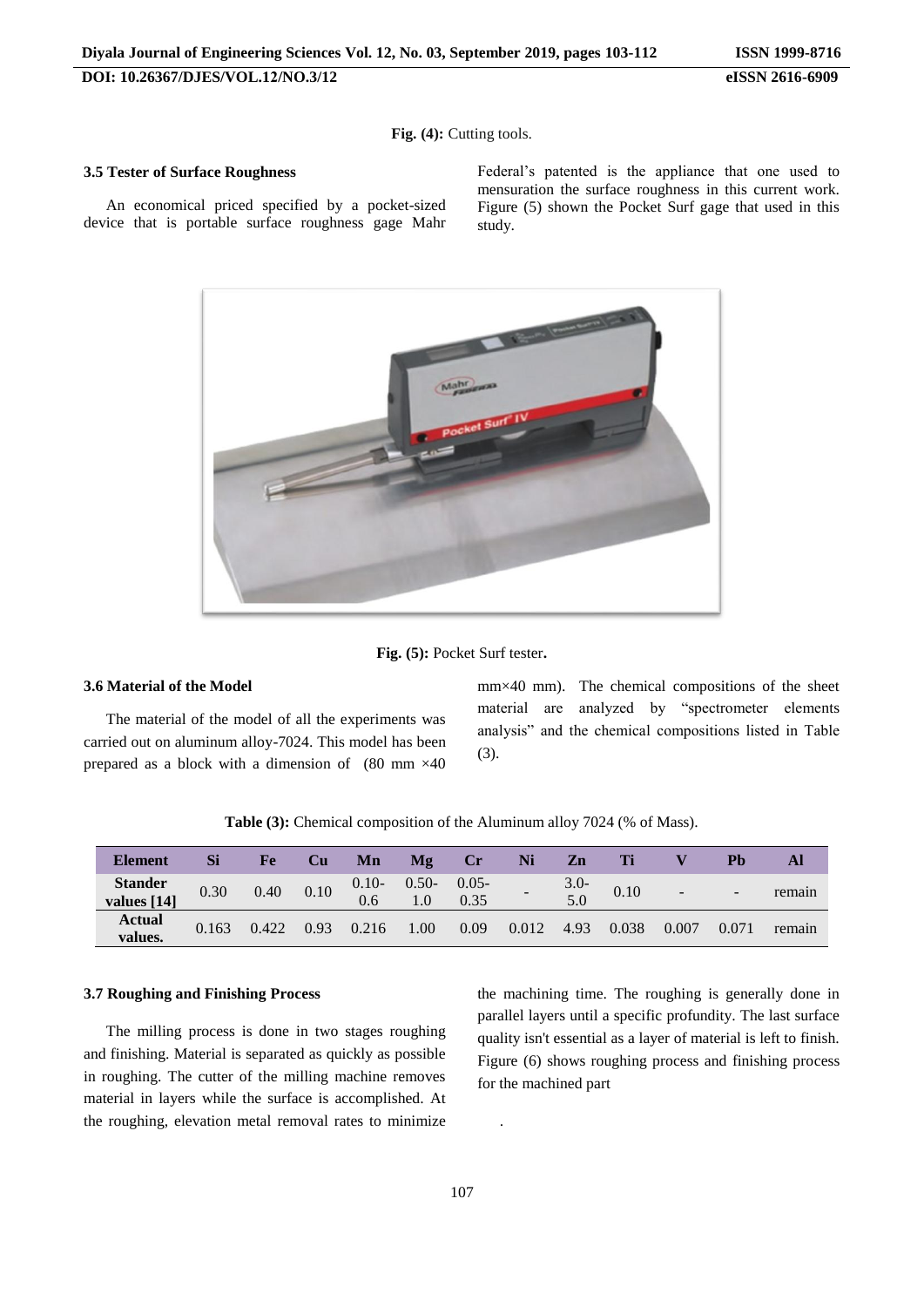**Fig. (4):** Cutting tools.

#### **3.5 Tester of Surface Roughness**

An economical priced specified by a pocket-sized device that is portable surface roughness gage Mahr Federal's patented is the appliance that one used to mensuration the surface roughness in this current work. Figure (5) shown the Pocket Surf gage that used in this study.



**Fig. (5):** Pocket Surf tester**.**

## **3.6 Material of the Model**

The material of the model of all the experiments was carried out on aluminum alloy-7024. This model has been prepared as a block with a dimension of (80 mm ×40 mm×40 mm). The chemical compositions of the sheet material are analyzed by "spectrometer elements analysis" and the chemical compositions listed in Table (3).

**Table (3):** Chemical composition of the Aluminum alloy 7024 (% of Mass).

| <b>Element</b>           | Si    | Fe    | <b>Cu</b> | Mn             | Mg      | $\bf Cr$         | Ni    | $\mathbf{Zn}$  | Ti    |                          | Ph    |        |
|--------------------------|-------|-------|-----------|----------------|---------|------------------|-------|----------------|-------|--------------------------|-------|--------|
| Stander<br>values [14]   | 0.30  | 0.40  | 0.10      | $0.10-$<br>0.6 | $0.50-$ | $0.05 -$<br>0.35 |       | $3.0 -$<br>5.0 | 0.10  | $\overline{\phantom{0}}$ | -     | remain |
| <b>Actual</b><br>values. | 0.163 | 0.422 | 0.93      | 0.216          | 1.00    | 0.09             | 0.012 | 4.93           | 0.038 | 0.007                    | 0.071 | remain |

### **3.7 Roughing and Finishing Process**

The milling process is done in two stages roughing and finishing. Material is separated as quickly as possible in roughing. The cutter of the milling machine removes material in layers while the surface is accomplished. At the roughing, elevation metal removal rates to minimize the machining time. The roughing is generally done in parallel layers until a specific profundity. The last surface quality isn't essential as a layer of material is left to finish. Figure (6) shows roughing process and finishing process for the machined part

.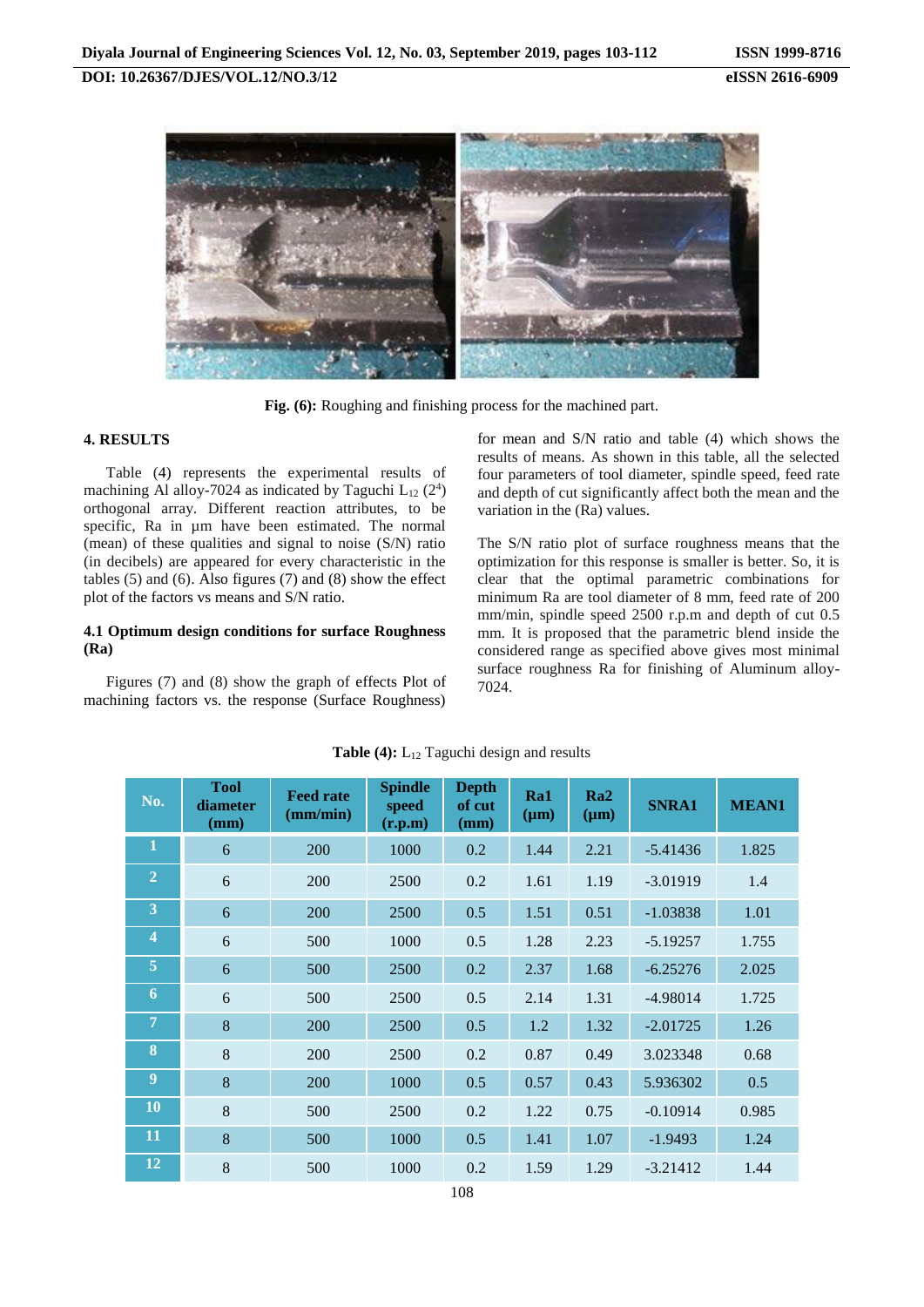**Fig. (6):** Roughing and finishing process for the machined part.

#### **4. RESULTS**

Table (4) represents the experimental results of machining Al alloy-7024 as indicated by Taguchi  $L_{12}$  (2<sup>4</sup>) orthogonal array. Different reaction attributes, to be specific, Ra in  $\mu$ m have been estimated. The normal (mean) of these qualities and signal to noise (S/N) ratio (in decibels) are appeared for every characteristic in the tables  $(5)$  and  $(6)$ . Also figures  $(7)$  and  $(8)$  show the effect plot of the factors vs means and S/N ratio.

#### **4.1 Optimum design conditions for surface Roughness (Ra)**

Figures (7) and (8) show the graph of effects Plot of machining factors vs. the response (Surface Roughness)

for mean and S/N ratio and table (4) which shows the results of means. As shown in this table, all the selected four parameters of tool diameter, spindle speed, feed rate and depth of cut significantly affect both the mean and the variation in the (Ra) values.

The S/N ratio plot of surface roughness means that the optimization for this response is smaller is better. So, it is clear that the optimal parametric combinations for minimum Ra are tool diameter of 8 mm, feed rate of 200 mm/min, spindle speed 2500 r.p.m and depth of cut 0.5 mm. It is proposed that the parametric blend inside the considered range as specified above gives most minimal surface roughness Ra for finishing of Aluminum alloy-7024.

| No.                     | <b>Tool</b><br>diameter<br>(mm) | <b>Feed rate</b><br>(mm/min) | <b>Spindle</b><br>speed<br>(r.p.m) | <b>Depth</b><br>of cut<br>(mm) | Ra1<br>$(\mu m)$ | Ra2<br>$(\mu m)$ | <b>SNRA1</b> | <b>MEAN1</b> |
|-------------------------|---------------------------------|------------------------------|------------------------------------|--------------------------------|------------------|------------------|--------------|--------------|
| 1                       | 6                               | 200                          | 1000                               | 0.2                            | 1.44             | 2.21             | $-5.41436$   | 1.825        |
| $\overline{2}$          | 6                               | 200                          | 2500                               | 0.2                            | 1.61             | 1.19             | $-3.01919$   | 1.4          |
| 3                       | 6                               | 200                          | 2500                               | 0.5                            | 1.51             | 0.51             | $-1.03838$   | 1.01         |
| $\overline{\mathbf{4}}$ | 6                               | 500                          | 1000                               | 0.5                            | 1.28             | 2.23             | $-5.19257$   | 1.755        |
| 5                       | 6                               | 500                          | 2500                               | 0.2                            | 2.37             | 1.68             | $-6.25276$   | 2.025        |
| 6                       | 6                               | 500                          | 2500                               | 0.5                            | 2.14             | 1.31             | $-4.98014$   | 1.725        |
| 7                       | 8                               | 200                          | 2500                               | 0.5                            | 1.2              | 1.32             | $-2.01725$   | 1.26         |
| 8                       | 8                               | 200                          | 2500                               | 0.2                            | 0.87             | 0.49             | 3.023348     | 0.68         |
| 9                       | 8                               | 200                          | 1000                               | 0.5                            | 0.57             | 0.43             | 5.936302     | 0.5          |
| 10                      | 8                               | 500                          | 2500                               | 0.2                            | 1.22             | 0.75             | $-0.10914$   | 0.985        |
| 11                      | 8                               | 500                          | 1000                               | 0.5                            | 1.41             | 1.07             | $-1.9493$    | 1.24         |
| <b>12</b>               | 8                               | 500                          | 1000                               | 0.2                            | 1.59             | 1.29             | $-3.21412$   | 1.44         |

#### Table (4): L<sub>12</sub> Taguchi design and results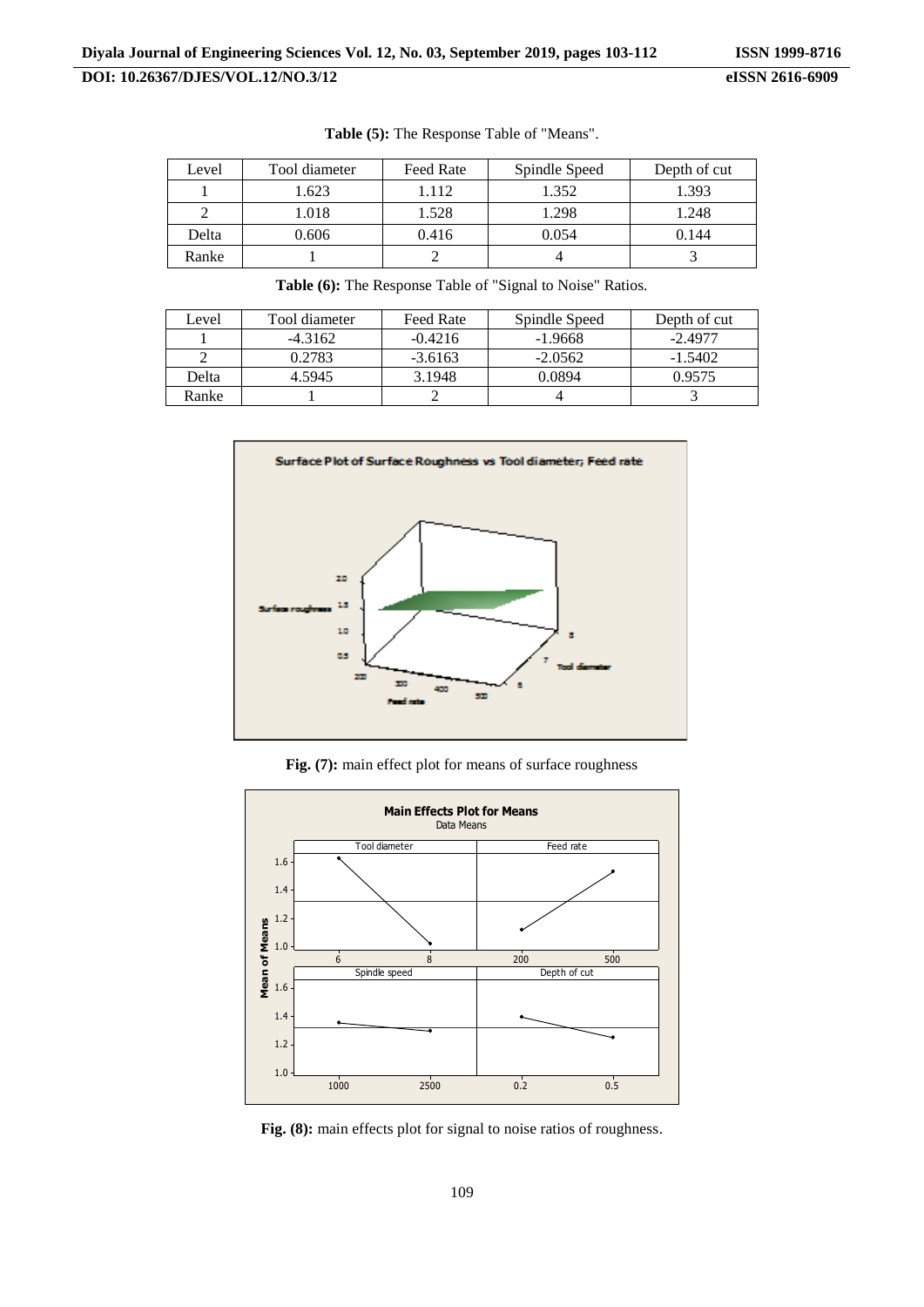| Level | Tool diameter | <b>Feed Rate</b> | Spindle Speed | Depth of cut |
|-------|---------------|------------------|---------------|--------------|
|       | 1.623         | 1.112            | 1.352         | 1.393        |
|       | 1.018         | 1.528            | 1.298         | 1.248        |
| Delta | 0.606         | 0.416            | 0.054         | 0.144        |
| Ranke |               |                  |               |              |

**Table (5):** The Response Table of "Means".

| Level | Tool diameter | Feed Rate | Spindle Speed | Depth of cut |
|-------|---------------|-----------|---------------|--------------|
|       | $-4.3162$     | $-0.4216$ | -1.9668       | $-2.4977$    |
|       | 0.2783        | $-3.6163$ | $-2.0562$     | $-1.5402$    |
| Delta | 4.5945        | 3.1948    | 0.0894        | 0.9575       |

Ranke 1 2 4 3

**Table (6):** The Response Table of "Signal to Noise" Ratios.

Surface Plot of Surface Roughness vs Tool diameter; Feed rate 20 15 10 š  $\overline{a}$  $200$ 400 sm.

**Fig. (7):** main effect plot for means of surface roughness



Fig. (8): main effects plot for signal to noise ratios of roughness.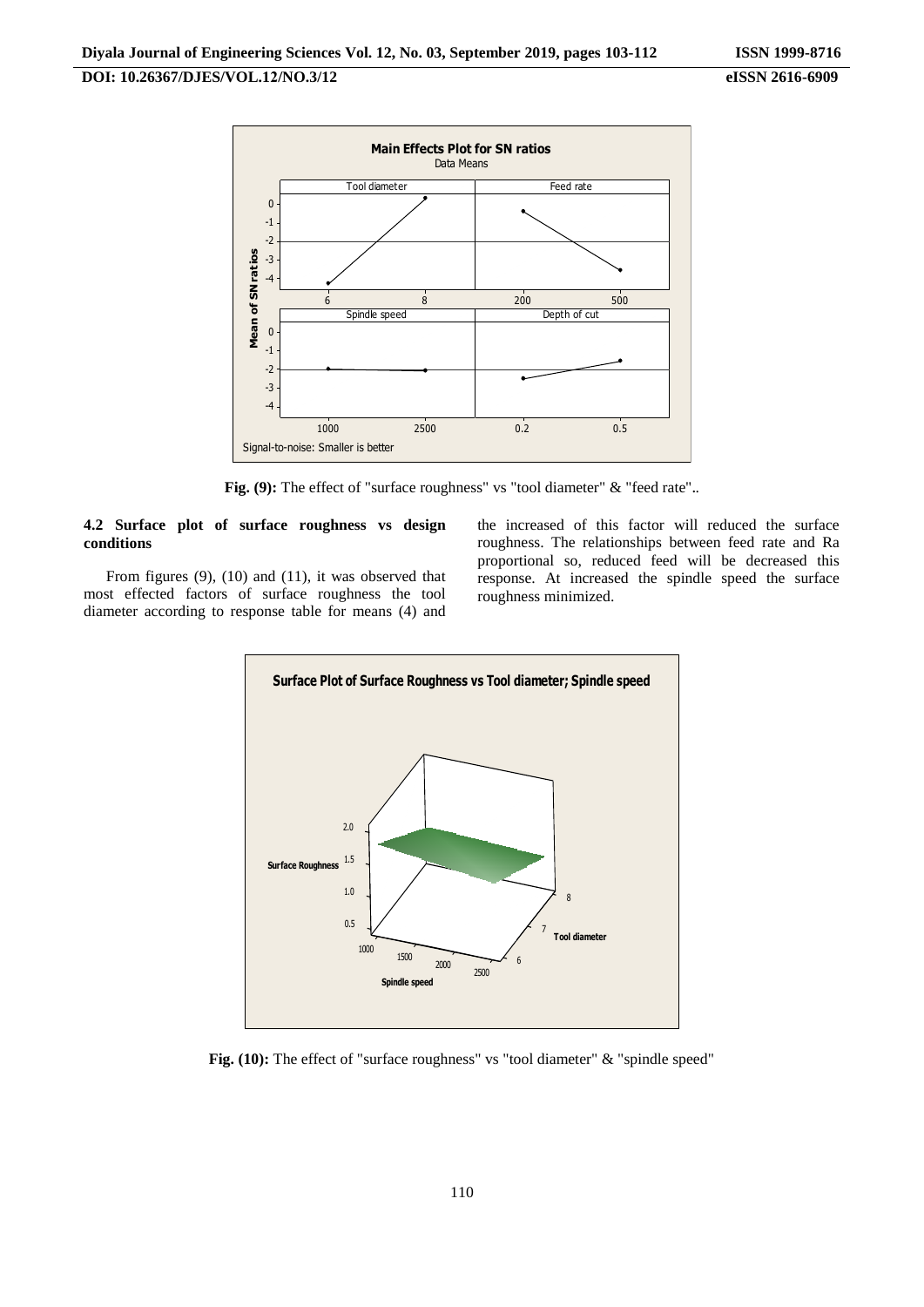

**Fig. (9):** The effect of "surface roughness" vs "tool diameter" & "feed rate"**.**.

## **4.2 Surface plot of surface roughness vs design conditions**

From figures (9), (10) and (11), it was observed that most effected factors of surface roughness the tool diameter according to response table for means (4) and

the increased of this factor will reduced the surface roughness. The relationships between feed rate and Ra proportional so, reduced feed will be decreased this response. At increased the spindle speed the surface roughness minimized.



**Fig. (10):** The effect of "surface roughness" vs "tool diameter" & "spindle speed"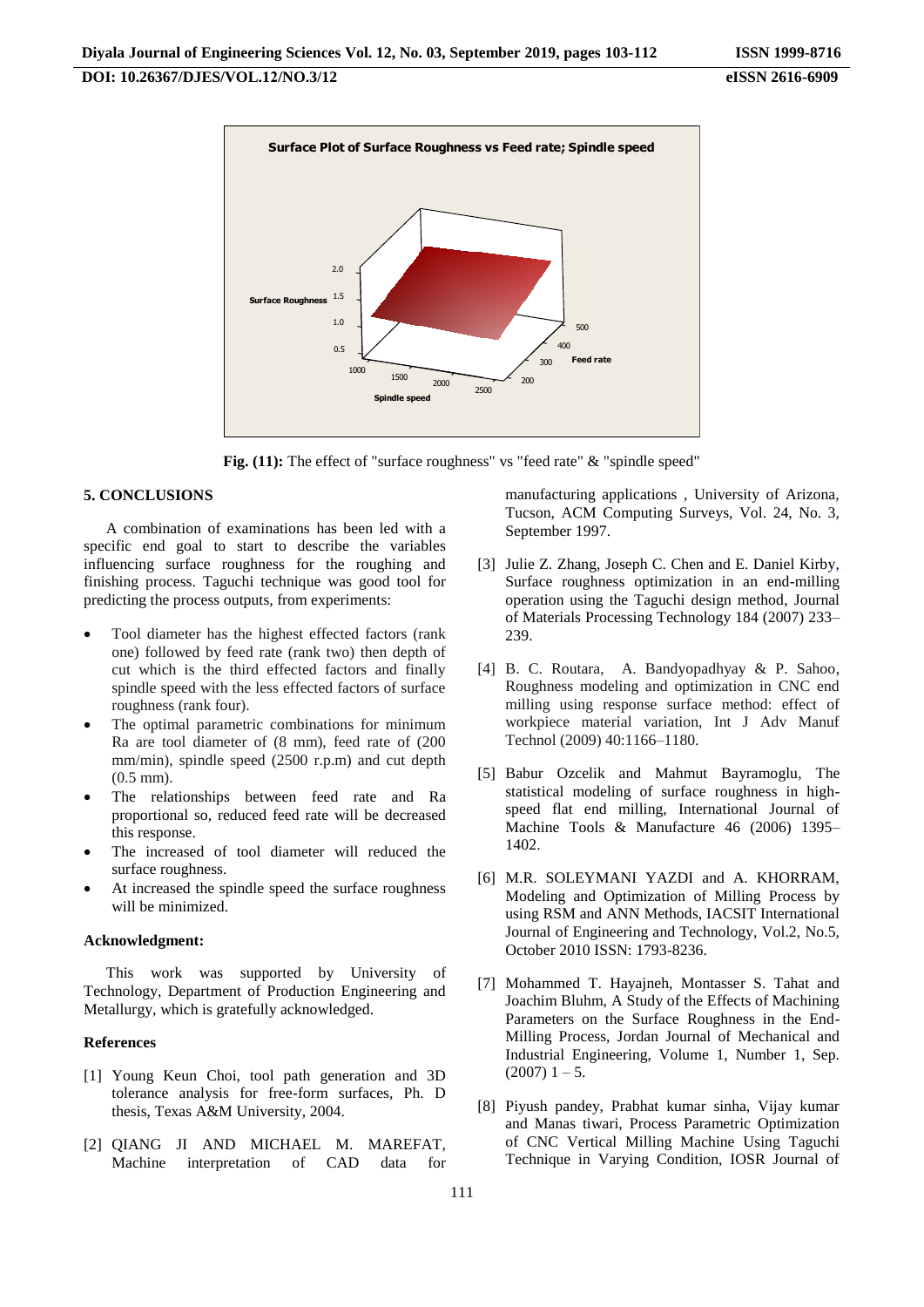

**Fig. (11):** The effect of "surface roughness" vs "feed rate" & "spindle speed"

#### **5. CONCLUSIONS**

A combination of examinations has been led with a specific end goal to start to describe the variables influencing surface roughness for the roughing and finishing process. Taguchi technique was good tool for predicting the process outputs, from experiments:

- Tool diameter has the highest effected factors (rank one) followed by feed rate (rank two) then depth of cut which is the third effected factors and finally spindle speed with the less effected factors of surface roughness (rank four).
- The optimal parametric combinations for minimum Ra are tool diameter of (8 mm), feed rate of (200 mm/min), spindle speed (2500 r.p.m) and cut depth (0.5 mm).
- The relationships between feed rate and Ra proportional so, reduced feed rate will be decreased this response.
- The increased of tool diameter will reduced the surface roughness.
- At increased the spindle speed the surface roughness will be minimized.

#### **Acknowledgment:**

This work was supported by University of Technology, Department of Production Engineering and Metallurgy, which is gratefully acknowledged.

#### **References**

- [1] Young Keun Choi, tool path generation and 3D tolerance analysis for free-form surfaces, Ph. D thesis, Texas A&M University, 2004.
- [2] QIANG JI AND MICHAEL M. MAREFAT, Machine interpretation of CAD data for

manufacturing applications , University of Arizona, Tucson, ACM Computing Surveys, Vol. 24, No. 3, September 1997.

- [3] Julie Z. Zhang, Joseph C. Chen and E. Daniel Kirby, Surface roughness optimization in an end-milling operation using the Taguchi design method, Journal of Materials Processing Technology 184 (2007) 233– 239.
- [4] B. C. Routara, A. Bandyopadhyay & P. Sahoo, Roughness modeling and optimization in CNC end milling using response surface method: effect of workpiece material variation, Int J Adv Manuf Technol (2009) 40:1166–1180.
- [5] Babur Ozcelik and Mahmut Bayramoglu, The statistical modeling of surface roughness in highspeed flat end milling, International Journal of Machine Tools & Manufacture 46 (2006) 1395– 1402.
- [6] M.R. SOLEYMANI YAZDI and A. KHORRAM, Modeling and Optimization of Milling Process by using RSM and ANN Methods, IACSIT International Journal of Engineering and Technology, Vol.2, No.5, October 2010 ISSN: 1793-8236.
- [7] Mohammed T. Hayajneh, Montasser S. Tahat and Joachim Bluhm, A Study of the Effects of Machining Parameters on the Surface Roughness in the End-Milling Process, Jordan Journal of Mechanical and Industrial Engineering, Volume 1, Number 1, Sep.  $(2007)$  1 – 5.
- [8] Piyush pandey, Prabhat kumar sinha, Vijay kumar and Manas tiwari, Process Parametric Optimization of CNC Vertical Milling Machine Using Taguchi Technique in Varying Condition, IOSR Journal of